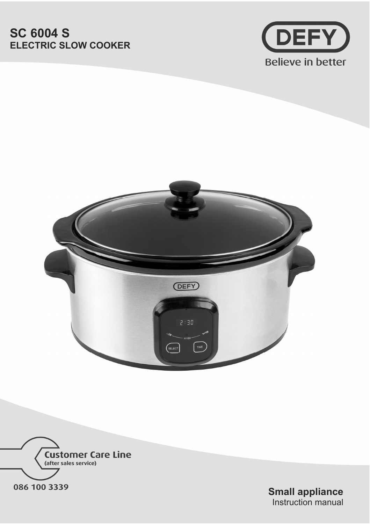# **SC 6004 S ELECTRIC SLOW COOKER**







**Small appliance**  Instruction manual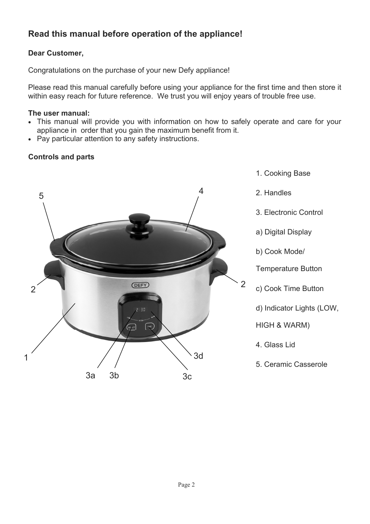## **Read this manual before operation of the appliance!**

### **Dear Customer,**

Congratulations on the purchase of your new Defy appliance!

Please read this manual carefully before using your appliance for the first time and then store it within easy reach for future reference. We trust you will enjoy years of trouble free use.

#### **The user manual:**

- This manual will provide you with information on how to safely operate and care for your appliance in order that you gain the maximum benefit from it.
- Pay particular attention to any safety instructions.

### **Controls and parts**

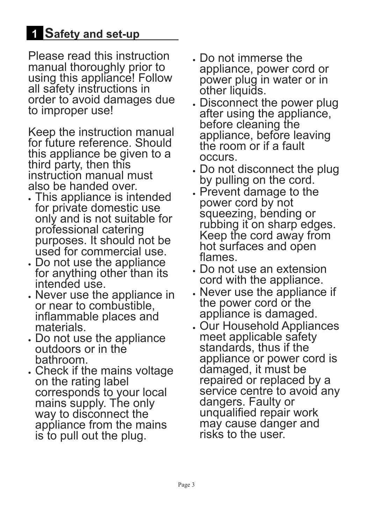# **Safety and set-up**

Please read this instruction manual thoroughly prior to using this appliance! Follow all safety instructions in order to avoid damages due to improper use!

Keep the instruction manual for future reference. Should this appliance be given to a third party, then this instruction manual must also be handed over.

- . This appliance is intended for private domestic use only and is not suitable for professional catering purposes. It should not be used for commercial use.
- **Do not use the appliance I** for anything other than its intended use.
- x Never use the appliance in or near to combustible, inflammable places and materials.
- . Do not use the appliance outdoors or in the bathroom.
- . Check if the mains voltage on the rating label corresponds to your local mains supply. The only way to disconnect the appliance from the mains is to pull out the plug.
- x Do not immerse the appliance, power cord or power plug in water or in other liquids.
- . Disconnect the power plug after using the appliance, before cleaning the appliance, before leaving the room or if a fault occurs.
- . Do not disconnect the plug by pulling on the cord.
- **Prevent damage to the** power cord by not squeezing, bending or rubbing it on sharp edges. Keep the cord away from hot surfaces and open flames.
- Do not use an extension cord with the appliance.
- x Never use the appliance if the power cord or the appliance is damaged.
- x Our Household Appliances meet applicable safety standards, thus if the appliance or power cord is damaged, it must be repaired or replaced by a service centre to avoid any dangers. Faulty or unqualified repair work may cause danger and risks to the user.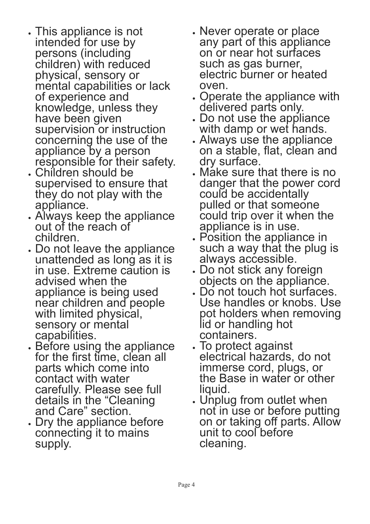- x This appliance is not intended for use by persons (including children) with reduced physical, sensory or mental capabilities or lack of experience and knowledge, unless they have been given supervision or instruction concerning the use of the appliance by a person responsible for their safety.
- x Children should be supervised to ensure that they do not play with the appliance.
- x Always keep the appliance out of the reach of children.
- x Do not leave the appliance unattended as long as it is in use. Extreme caution is advised when the appliance is being used near children and people with limited physical, sensory or mental capabilities.
- x Before using the appliance for the first time, clean all parts which come into contact with water carefully. Please see full details in the "Cleaning and Care" section.
- . Dry the appliance before connecting it to mains supply.
- **Wever operate or place** any part of this appliance on or near hot surfaces such as gas burner, electric burner or heated oven.
- . Operate the appliance with delivered parts only.
- x Do not use the appliance with damp or wet hands.
- x Always use the appliance on a stable, flat, clean and dry surface.
- x Make sure that there is no danger that the power cord could be accidentally pulled or that someone could trip over it when the appliance is in use.
- x Position the appliance in such a way that the plug is always accessible.
- x Do not stick any foreign objects on the appliance.
- x Do not touch hot surfaces. Use handles or knobs. Use pot holders when removing lid or handling hot containers.
- . To protect against electrical hazards, do not immerse cord, plugs, or the Base in water or other liquid.
- . Unplug from outlet when not in use or before putting on or taking off parts. Allow unit to cool before cleaning.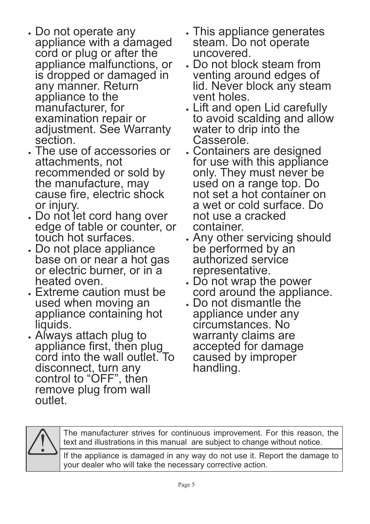- x Do not operate any appliance with a damaged cord or plug or after the appliance malfunctions, or is dropped or damaged in any manner. Return appliance to the manufacturer, for examination repair or adjustment. See Warranty section.
- x The use of accessories or attachments, not recommended or sold by the manufacture, may cause fire, electric shock or injury.
- Do not let cord hang over edge of table or counter, or touch hot surfaces.
- Do not place appliance base on or near a hot gas or electric burner, or in a heated oven.
- Extreme caution must be used when moving an appliance containing hot liquids.
- x Always attach plug to appliance first, then plug cord into the wall outlet. To disconnect, turn any control to "OFF", then remove plug from wall outlet.
- . This appliance generates steam. Do not operate uncovered.
- x Do not block steam from venting around edges of lid. Never block any steam vent holes.
- x Lift and open Lid carefully to avoid scalding and allow water to drip into the Casserole.
- x Containers are designed for use with this appliance only. They must never be used on a range top. Do not set a hot container on a wet or cold surface. Do not use a cracked container.
- x Any other servicing should be performed by an authorized service representative.
- Do not wrap the power cord around the appliance.
- x Do not dismantle the appliance under any circumstances. No warranty claims are accepted for damage caused by improper handling.



The manufacturer strives for continuous improvement. For this reason, the text and illustrations in this manual are subject to change without notice.

If the appliance is damaged in any way do not use it. Report the damage to your dealer who will take the necessary corrective action.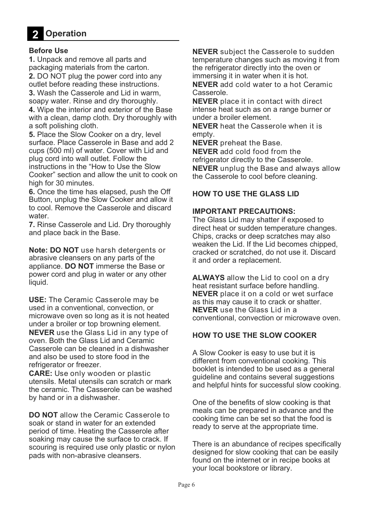

#### **Before Use**

**1.** Unpack and remove all parts and packaging materials from the carton. **2.** DO NOT plug the power cord into any outlet before reading these instructions. **3.** Wash the Casserole and Lid in warm, soapy water. Rinse and dry thoroughly. **4.** Wipe the interior and exterior of the Base with a clean, damp cloth. Dry thoroughly with a soft polishing cloth. **5.** Place the Slow Cooker on a dry, level

surface. Place Casserole in Base and add 2 cups (500 ml) of water. Cover with Lid and plug cord into wall outlet. Follow the instructions in the "How to Use the Slow Cooker" section and allow the unit to cook on high for 30 minutes.

**6.** Once the time has elapsed, push the Off Button, unplug the Slow Cooker and allow it to cool. Remove the Casserole and discard water.

**7.** Rinse Casserole and Lid. Dry thoroughly and place back in the Base.

**Note: DO NOT** use harsh detergents or abrasive cleansers on any parts of the appliance. **DO NOT** immerse the Base or power cord and plug in water or any other liquid.

**USE:** The Ceramic Casserole may be used in a conventional, convection, or microwave oven so long as it is not heated under a broiler or top browning element. **NEVER** use the Glass Lid in any type of oven. Both the Glass Lid and Ceramic Casserole can be cleaned in a dishwasher and also be used to store food in the refrigerator or freezer.

**CARE:** Use only wooden or plastic utensils. Metal utensils can scratch or mark the ceramic. The Casserole can be washed by hand or in a dishwasher.

**DO NOT** allow the Ceramic Casserole to soak or stand in water for an extended period of time. Heating the Casserole after soaking may cause the surface to crack. If scouring is required use only plastic or nylon pads with non-abrasive cleansers.

**NEVER** subject the Casserole to sudden temperature changes such as moving it from the refrigerator directly into the oven or immersing it in water when it is hot. **NEVER** add cold water to a hot Ceramic Casserole.

**NEVER** place it in contact with direct intense heat such as on a range burner or under a broiler element.

**NEVER** heat the Casserole when it is empty.

**NEVER** preheat the Base.

**NEVER** add cold food from the refrigerator directly to the Casserole. **NEVER** unplug the Base and always allow the Casserole to cool before cleaning.

### **HOW TO USE THE GLASS LID**

### **IMPORTANT PRECAUTIONS:**

The Glass Lid may shatter if exposed to direct heat or sudden temperature changes. Chips, cracks or deep scratches may also weaken the Lid. If the Lid becomes chipped, cracked or scratched, do not use it. Discard it and order a replacement.

**ALWAYS** allow the Lid to cool on a dry heat resistant surface before handling. **NEVER** place it on a cold or wet surface as this may cause it to crack or shatter. **NEVER** use the Glass Lid in a conventional, convection or microwave oven.

### **HOW TO USE THE SLOW COOKER**

A Slow Cooker is easy to use but it is different from conventional cooking. This booklet is intended to be used as a general guideline and contains several suggestions and helpful hints for successful slow cooking.

One of the benefits of slow cooking is that meals can be prepared in advance and the cooking time can be set so that the food is ready to serve at the appropriate time.

There is an abundance of recipes specifically designed for slow cooking that can be easily found on the internet or in recipe books at your local bookstore or library.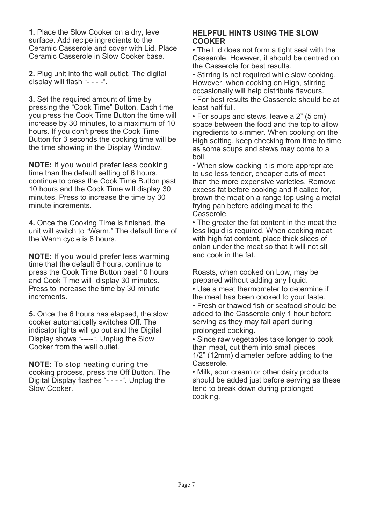**1.** Place the Slow Cooker on a dry, level surface. Add recipe ingredients to the Ceramic Casserole and cover with Lid. Place Ceramic Casserole in Slow Cooker base.

**2.** Plug unit into the wall outlet. The digital display will flash "- - - -".

**3.** Set the required amount of time by pressing the "Cook Time" Button. Each time you press the Cook Time Button the time will increase by 30 minutes, to a maximum of 10 hours. If you don't press the Cook Time Button for 3 seconds the cooking time will be the time showing in the Display Window.

**NOTE:** If you would prefer less cooking time than the default setting of 6 hours, continue to press the Cook Time Button past 10 hours and the Cook Time will display 30 minutes. Press to increase the time by 30 minute increments.

**4.** Once the Cooking Time is finished, the unit will switch to "Warm." The default time of the Warm cycle is 6 hours.

**NOTE:** If you would prefer less warming time that the default 6 hours, continue to press the Cook Time Button past 10 hours and Cook Time will display 30 minutes. Press to increase the time by 30 minute increments.

**5.** Once the 6 hours has elapsed, the slow cooker automatically switches Off. The indicator lights will go out and the Digital Display shows "-----". Unplug the Slow Cooker from the wall outlet.

**NOTE:** To stop heating during the cooking process, press the Off Button. The Digital Display flashes "- - - -". Unplug the Slow Cooker.

### **HELPFUL HINTS USING THE SLOW COOKER**

• The Lid does not form a tight seal with the Casserole. However, it should be centred on the Casserole for best results.

• Stirring is not required while slow cooking. However, when cooking on High, stirring occasionally will help distribute flavours.

• For best results the Casserole should be at least half full.

• For soups and stews, leave a 2" (5 cm) space between the food and the top to allow ingredients to simmer. When cooking on the High setting, keep checking from time to time as some soups and stews may come to a boil.

• When slow cooking it is more appropriate to use less tender, cheaper cuts of meat than the more expensive varieties. Remove excess fat before cooking and if called for, brown the meat on a range top using a metal frying pan before adding meat to the Casserole.

• The greater the fat content in the meat the less liquid is required. When cooking meat with high fat content, place thick slices of onion under the meat so that it will not sit and cook in the fat.

Roasts, when cooked on Low, may be prepared without adding any liquid. • Use a meat thermometer to determine if the meat has been cooked to your taste. • Fresh or thawed fish or seafood should be added to the Casserole only 1 hour before serving as they may fall apart during prolonged cooking.

• Since raw vegetables take longer to cook than meat, cut them into small pieces 1/2" (12mm) diameter before adding to the Casserole.

• Milk, sour cream or other dairy products should be added just before serving as these tend to break down during prolonged cooking.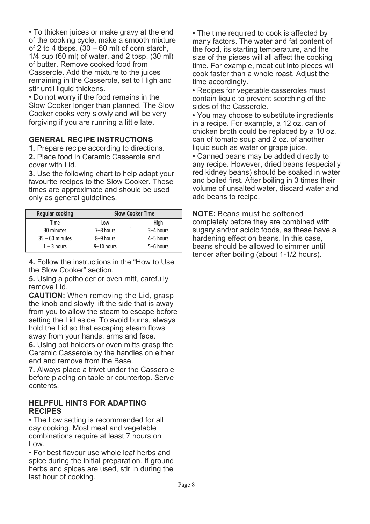• To thicken juices or make gravy at the end of the cooking cycle, make a smooth mixture of 2 to 4 tbsps.  $(30 - 60 \text{ ml})$  of corn starch, 1/4 cup (60 ml) of water, and 2 tbsp. (30 ml) of butter. Remove cooked food from Casserole. Add the mixture to the juices remaining in the Casserole, set to High and stir until liquid thickens.

• Do not worry if the food remains in the Slow Cooker longer than planned. The Slow Cooker cooks very slowly and will be very forgiving if you are running a little late.

### **GENERAL RECIPE INSTRUCTIONS**

**1.** Prepare recipe according to directions. **2.** Place food in Ceramic Casserole and cover with Lid.

**3.** Use the following chart to help adapt your favourite recipes to the Slow Cooker. These times are approximate and should be used only as general guidelines.

| Regular cooking   | <b>Slow Cooker Time</b> |           |
|-------------------|-------------------------|-----------|
| Time              | Low                     | High      |
| 30 minutes        | 7-8 hours               | 3-4 hours |
| $35 - 60$ minutes | 8-9 hours               | 4-5 hours |
| $1 - 3$ hours     | 9-10 hours              | 5-6 hours |

**4.** Follow the instructions in the "How to Use the Slow Cooker" section.

**5.** Using a potholder or oven mitt, carefully remove Lid.

**CAUTION:** When removing the Lid, grasp the knob and slowly lift the side that is away from you to allow the steam to escape before setting the Lid aside. To avoid burns, always hold the Lid so that escaping steam flows away from your hands, arms and face.

**6.** Using pot holders or oven mitts grasp the Ceramic Casserole by the handles on either end and remove from the Base.

**7.** Always place a trivet under the Casserole before placing on table or countertop. Serve contents.

### **HELPFUL HINTS FOR ADAPTING RECIPES**

• The Low setting is recommended for all day cooking. Most meat and vegetable combinations require at least 7 hours on Low.

• For best flavour use whole leaf herbs and spice during the initial preparation. If ground herbs and spices are used, stir in during the last hour of cooking.

• The time required to cook is affected by many factors. The water and fat content of the food, its starting temperature, and the size of the pieces will all affect the cooking time. For example, meat cut into pieces will cook faster than a whole roast. Adjust the time accordingly.

• Recipes for vegetable casseroles must contain liquid to prevent scorching of the sides of the Casserole.

• You may choose to substitute ingredients in a recipe. For example, a 12 oz. can of chicken broth could be replaced by a 10 oz. can of tomato soup and 2 oz. of another liquid such as water or grape juice.

• Canned beans may be added directly to any recipe. However, dried beans (especially red kidney beans) should be soaked in water and boiled first. After boiling in 3 times their volume of unsalted water, discard water and add beans to recipe.

**NOTE:** Beans must be softened completely before they are combined with sugary and/or acidic foods, as these have a hardening effect on beans. In this case, beans should be allowed to simmer until tender after boiling (about 1-1/2 hours).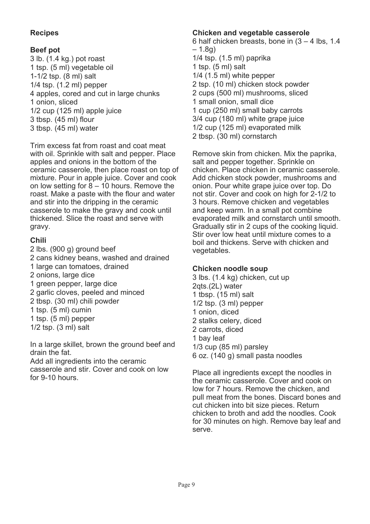### **Recipes**

### **Beef pot**

3 lb. (1.4 kg.) pot roast 1 tsp. (5 ml) vegetable oil 1-1/2 tsp. (8 ml) salt 1/4 tsp. (1.2 ml) pepper 4 apples, cored and cut in large chunks 1 onion, sliced 1/2 cup (125 ml) apple juice 3 tbsp. (45 ml) flour 3 tbsp. (45 ml) water

Trim excess fat from roast and coat meat with oil. Sprinkle with salt and pepper. Place apples and onions in the bottom of the ceramic casserole, then place roast on top of mixture. Pour in apple juice. Cover and cook on low setting for  $8 - 10$  hours. Remove the roast. Make a paste with the flour and water and stir into the dripping in the ceramic casserole to make the gravy and cook until thickened. Slice the roast and serve with gravy.

### **Chili**

2 lbs. (900 g) ground beef 2 cans kidney beans, washed and drained 1 large can tomatoes, drained 2 onions, large dice 1 green pepper, large dice 2 garlic cloves, peeled and minced 2 tbsp. (30 ml) chili powder 1 tsp. (5 ml) cumin 1 tsp. (5 ml) pepper 1/2 tsp. (3 ml) salt

In a large skillet, brown the ground beef and drain the fat.

Add all ingredients into the ceramic casserole and stir. Cover and cook on low for 9-10 hours.

### **Chicken and vegetable casserole**

6 half chicken breasts, bone in (3 – 4 lbs, 1.4  $-1.8q$ 1/4 tsp. (1.5 ml) paprika 1 tsp. (5 ml) salt 1/4 (1.5 ml) white pepper 2 tsp. (10 ml) chicken stock powder 2 cups (500 ml) mushrooms, sliced 1 small onion, small dice 1 cup (250 ml) small baby carrots 3/4 cup (180 ml) white grape juice 1/2 cup (125 ml) evaporated milk 2 tbsp. (30 ml) cornstarch

Remove skin from chicken. Mix the paprika, salt and pepper together. Sprinkle on chicken. Place chicken in ceramic casserole. Add chicken stock powder, mushrooms and onion. Pour white grape juice over top. Do not stir. Cover and cook on high for 2-1/2 to 3 hours. Remove chicken and vegetables and keep warm. In a small pot combine evaporated milk and cornstarch until smooth. Gradually stir in 2 cups of the cooking liquid. Stir over low heat until mixture comes to a boil and thickens. Serve with chicken and vegetables.

### **Chicken noodle soup**

3 lbs. (1.4 kg) chicken, cut up 2qts.(2L) water 1 tbsp. (15 ml) salt 1/2 tsp. (3 ml) pepper 1 onion, diced 2 stalks celery, diced 2 carrots, diced 1 bay leaf 1/3 cup (85 ml) parsley 6 oz. (140 g) small pasta noodles

Place all ingredients except the noodles in the ceramic casserole. Cover and cook on low for 7 hours. Remove the chicken, and pull meat from the bones. Discard bones and cut chicken into bit size pieces. Return chicken to broth and add the noodles. Cook for 30 minutes on high. Remove bay leaf and serve.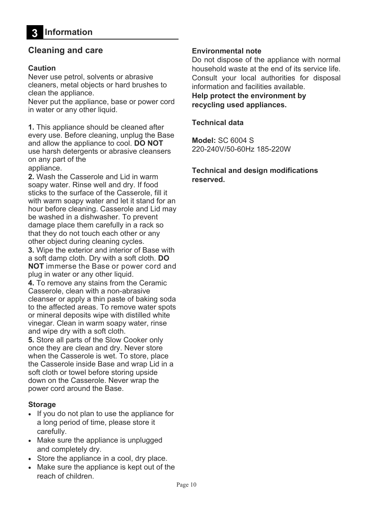### **Cleaning and care**

### **Caution**

Never use petrol, solvents or abrasive cleaners, metal objects or hard brushes to clean the appliance.

Never put the appliance, base or power cord in water or any other liquid.

**1.** This appliance should be cleaned after every use. Before cleaning, unplug the Base and allow the appliance to cool. **DO NOT**  use harsh detergents or abrasive cleansers on any part of the

appliance.

**2.** Wash the Casserole and Lid in warm soapy water. Rinse well and dry. If food sticks to the surface of the Casserole, fill it with warm soapy water and let it stand for an hour before cleaning. Casserole and Lid may be washed in a dishwasher. To prevent damage place them carefully in a rack so that they do not touch each other or any other object during cleaning cycles.

**3.** Wipe the exterior and interior of Base with a soft damp cloth. Dry with a soft cloth. **DO NOT** immerse the Base or power cord and plug in water or any other liquid.

**4.** To remove any stains from the Ceramic Casserole, clean with a non-abrasive cleanser or apply a thin paste of baking soda to the affected areas. To remove water spots or mineral deposits wipe with distilled white vinegar. Clean in warm soapy water, rinse and wipe dry with a soft cloth.

**5.** Store all parts of the Slow Cooker only once they are clean and dry. Never store when the Casserole is wet. To store, place the Casserole inside Base and wrap Lid in a soft cloth or towel before storing upside down on the Casserole. Never wrap the power cord around the Base.

### **Storage**

- If you do not plan to use the appliance for a long period of time, please store it carefully.
- Make sure the appliance is unplugged and completely dry.
- Store the appliance in a cool, dry place.
- Make sure the appliance is kept out of the reach of children.

### **Environmental note**

Do not dispose of the appliance with normal household waste at the end of its service life. Consult your local authorities for disposal information and facilities available.

**Help protect the environment by recycling used appliances.** 

### **Technical data**

**Model:** SC 6004 S 220-240V/50-60Hz 185-220W

**Technical and design modifications reserved.**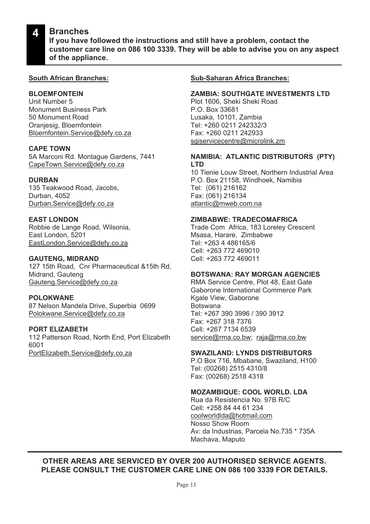#### **Branches 4**

**If you have followed the instructions and still have a problem, contact the customer care line on 086 100 3339. They will be able to advise you on any aspect of the appliance.**

#### **South African Branches:**

### **BLOEMFONTEIN**

Unit Number 5 Monument Business Park 50 Monument Road Oranjesig, Bloemfontein Bloemfontein.Service@defy.co.za

#### **CAPE TOWN**

5A Marconi Rd. Montague Gardens, 7441 CapeTown.Service@defy.co.za

#### **DURBAN**

135 Teakwood Road, Jacobs, Durban, 4052 Durban.Service@defy.co.za

### **EAST LONDON**

Robbie de Lange Road, Wilsonia, East London, 5201 EastLondon.Service@defy.co.za

#### **GAUTENG, MIDRAND**

127 15th Road, Cnr Pharmaceutical &15th Rd, Midrand, Gauteng Gauteng.Service@defy.co.za

#### **POLOKWANE**

87 Nelson Mandela Drive, Superbia 0699 Polokwane.Service@defy.co.za

### **PORT ELIZABETH**

112 Patterson Road, North End, Port Elizabeth 6001 PortElizabeth.Service@defy.co.za

#### **Sub-Saharan Africa Branches:**

#### **ZAMBIA: SOUTHGATE INVESTMENTS LTD**

Plot 1606, Sheki Sheki Road P.O. Box 33681 Lusaka, 10101, Zambia Tel: +260 0211 242332/3 Fax: +260 0211 242933 sgiservicecentre@microlink.zm

#### **NAMIBIA: ATLANTIC DISTRIBUTORS (PTY) LTD**

10 Tienie Louw Street, Northern Industrial Area P.O. Box 21158, Windhoek, Namibia Tel: (061) 216162 Fax: (061) 216134 atlantic@mweb.com.na

#### **ZIMBABWE: TRADECOMAFRICA**

Trade Com Africa, 183 Loreley Crescent Msasa, Harare, Zimbabwe Tel: +263 4 486165/6 Cell: +263 772 469010 Cell: +263 772 469011

#### **BOTSWANA: RAY MORGAN AGENCIES**

RMA Service Centre, Plot 48, East Gate Gaborone International Commerce Park Kgale View, Gaborone Botswana Tel: +267 390 3996 / 390 3912 Fax: +267 318 7376 Cell: +267 7134 6539 service@rma.co.bw; raja@rma.co.bw

#### **SWAZILAND: LYNDS DISTRIBUTORS**

P.O Box 716, Mbabane, Swaziland, H100 Tel: (00268) 2515 4310/8 Fax: (00268) 2518 4318

### **MOZAMBIQUE: COOL WORLD. LDA**

Rua da Resistencia No. 97B R/C Cell: +258 84 44 61 234 coolworldlda@hotmail.com Nosso Show Room Av: da Industrias, Parcela No.735 \* 735A Machava, Maputo

### **OTHER AREAS ARE SERVICED BY OVER 200 AUTHORISED SERVICE AGENTS. PLEASE CONSULT THE CUSTOMER CARE LINE ON 086 100 3339 FOR DETAILS.**